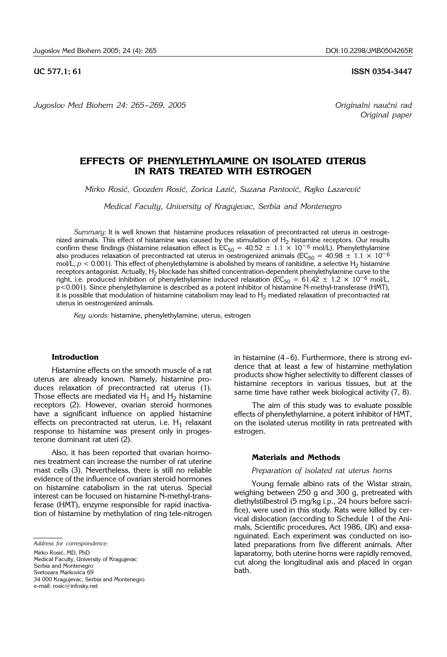*Jugoslov Med Biohem 24: 265 – 269, 2005 Originalni nau~ni rad*

#### **UC 577.1: 61 ISSN 0354-3447**

*Original paper*

# **EFFECTS OF PHENYLETHYLAMINE ON ISOLATED UTERUS IN RATS TREATED WITH ESTROGEN**

*Mirko Rosi}, Gvozden Rosi}, Zorica Lazi}, Suzana Pantovi}, Rajko Lazarevi}*

*Medical Faculty, University of Kragujevac, Serbia and Montenegro* 

*Summary*: It is well known that histamine produces relaxation of precontracted rat uterus in oestrogenized animals. This effect of histamine was caused by the stimulation of  $H_2$  histamine receptors. Our results confirm these findings (histamine relaxation effect is  $EC_{50} = 40.52 \pm 1.1 \times 10^{-6}$  mol/L). Phenylethylamine also produces relaxation of precontracted rat uterus in oestrogenized animals ( $EC_{50} = 40.98 \pm 1.1 \times 10^{-6}$ mol/L,  $p < 0.001$ ). This effect of phenylethylamine is abolished by means of ranitidine, a selective H<sub>2</sub> histamine receptors antagonist. Actually, H<sub>2</sub> blockade has shifted concentration-dependent phenylethylamine curve to the right, i.e. produced inhibition of phenylethylamine induced relaxation (EC<sub>50</sub> = 61.42 ± 1.2 × 10<sup>-6</sup> mol/L, p<0.001). Since phenylethylamine is described as a potent inhibitor of histamine N-methyl-transferase (HMT), it is possible that modulation of histamine catabolism may lead to H<sub>2</sub> mediated relaxation of precontracted rat uterus in oestrogenized animals.

*Key words:* histamine, phenylethylamine, uterus, estrogen

# **Introduction**

Histamine effects on the smooth muscle of a rat uterus are already known. Namely, histamine produces relaxation of precontracted rat uterus (1). Those effects are mediated via  $H_1$  and  $H_2$  histamine receptors (2). However, ovarian steroid hormones have a significant influence on applied histamine effects on precontracted rat uterus, i.e.  $H_1$  relaxant response to histamine was present only in progesterone dominant rat uteri (2).

Also, it has been reported that ovarian hormones treatment can increase the number of rat uterine mast cells (3). Nevertheless, there is still no reliable evidence of the influence of ovarian steroid hormones on histamine catabolism in the rat uterus. Special interest can be focused on histamine N-methyl-transferase (HMT), enzyme responsible for rapid inactivation of histamine by methylation of ring tele-nitrogen

Mirko Rosić, MD, PhD Medical Faculty, University of Kragujevac Serbia and Montenegro Svetozara Markovića 69 34 000 Kragujevac, Serbia and Montenegro e-mail: rosic@infosky.net

in histamine (4–6). Furthermore, there is strong evidence that at least a few of histamine methylation products show higher selectivity to different classes of histamine receptors in various tissues, but at the same time have rather week biological activity (7, 8).

The aim of this study was to evaluate possible effects of phenylethylamine, a potent inhibitor of HMT, on the isolated uterus motility in rats pretreated with estrogen.

#### **Materials and Methods**

#### *Preparation of isolated rat uterus horns*

Young female albino rats of the Wistar strain, weighing between 250 g and 300 g, pretreated with diethylstilbestrol (5 mg/kg i.p., 24 hours before sacrifice), were used in this study. Rats were killed by cervical dislocation (according to Schedule 1 of the Animals, Scientific procedures, Act 1986, UK) and exsanguinated. Each experiment was conducted on isolated preparations from five different animals. After laparatomy, both uterine horns were rapidly removed, cut along the longitudinal axis and placed in organ bath.

*Address for correspondence:*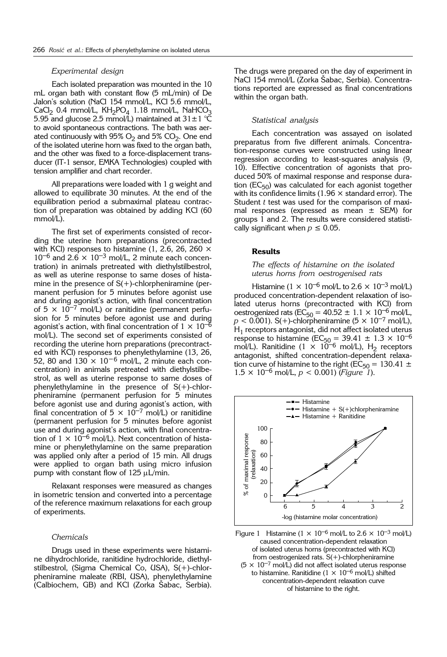## *Experimental design*

Each isolated preparation was mounted in the 10 mL organ bath with constant flow (5 mL/min) of De Jalon's solution (NaCl 154 mmol/L, KCl 5.6 mmol/L,  $CaCl<sub>2</sub>$  0.4 mmol/L,  $KH<sub>2</sub>PO<sub>4</sub>$  1.18 mmol/L, NaHCO<sub>3</sub> 5.95 and glucose 2.5 mmol/L) maintained at  $31\pm1$  °C to avoid spontaneous contractions. The bath was aerated continuously with  $95\%$  O<sub>2</sub> and  $5\%$  CO<sub>2</sub>. One end of the isolated uterine horn was fixed to the organ bath, and the other was fixed to a force-displacement transducer (IT-1 sensor, EMKA Technologies) coupled with tension amplifier and chart recorder.

All preparations were loaded with 1 g weight and allowed to equilibrate 30 minutes. At the end of the equilibration period a submaximal plateau contraction of preparation was obtained by adding KCl (60 mmol/L).

The first set of experiments consisted of recording the uterine horn preparations (precontracted with KCl) responses to histamine (1, 2.6, 26, 260  $\times$  $10^{-6}$  and  $2.6 \times 10^{-3}$  mol/L, 2 minute each concentration) in animals pretreated with diethylstilbestrol, as well as uterine response to same doses of histamine in the presence of  $S(+)$ -chlorpheniramine (permanent perfusion for 5 minutes before agonist use and during agonist's action, with final concentration of  $5 \times 10^{-7}$  mol/L) or ranitidine (permanent perfusion for 5 minutes before agonist use and during agonist's action, with final concentration of  $1 \times 10^{-6}$ mol/L). The second set of experiments consisted of recording the uterine horn preparations (precontracted with KCl) responses to phenylethylamine (13, 26, 52, 80 and  $130 \times 10^{-6}$  mol/L, 2 minute each concentration) in animals pretreated with diethylstilbestrol, as well as uterine response to same doses of phenylethylamine in the presence of  $S(+)$ -chlorpheniramine (permanent perfusion for 5 minutes before agonist use and during agonist's action, with final concentration of  $5 \times 10^{-7}$  mol/L) or ranitidine (permanent perfusion for 5 minutes before agonist use and during agonist's action, with final concentration of  $1 \times 10^{-6}$  mol/L). Next concentration of histamine or phenylethylamine on the same preparation was applied only after a period of 15 min. All drugs were applied to organ bath using micro infusion pump with constant flow of  $125 \mu L/min$ .

Relaxant responses were measured as changes in isometric tension and converted into a percentage of the reference maximum relaxations for each group of experiments.

#### *Chemicals*

Drugs used in these experiments were histamine dihydrochloride, ranitidine hydrochloride, diethylstilbestrol, (Sigma Chemical Co, USA), S(+)-chlorpheniramine maleate (RBI, USA), phenylethylamine (Calbiochem, GB) and KCl (Zorka Sabac, Serbia).

The drugs were prepared on the day of experiment in NaCl 154 mmol/L (Zorka Šabac, Serbia). Concentrations reported are expressed as final concentrations within the organ bath.

## *Statistical analysis*

Each concentration was assayed on isolated preparatus from five different animals. Concentration-response curves were constructed using linear regression according to least-squares analysis (9, 10). Effective concentration of agonists that produced 50% of maximal response and response duration ( $EC_{50}$ ) was calculated for each agonist together with its confidence limits (1.96  $\times$  standard error). The Student *t* test was used for the comparison of maximal responses (expressed as mean  $\pm$  SEM) for groups 1 and 2. The results were considered statistically significant when  $p \leq 0.05$ .

# **Results**

# *The effects of histamine on the isolated uterus horns from oestrogenised rats*

Histamine ( $1 \times 10^{-6}$  mol/L to  $2.6 \times 10^{-3}$  mol/L) produced concentration-dependent relaxation of isolated uterus horns (precontracted with KCl) from oestrogenized rats ( $EC_{50} = 40.52 \pm 1.1 \times 10^{-6}$  mol/L,  $p < 0.001$ ). S(+)-chlorpheniramine (5  $\times$  10<sup>-7</sup> mol/L),  $H_1$  receptors antagonist, did not affect isolated uterus response to histamine (EC<sub>50</sub> = 39.41  $\pm$  1.3  $\times$  10<sup>-6</sup> mol/L). Ranitidine  $(1 \times 10^{-6} \text{ mol/L})$ , H<sub>2</sub> receptors antagonist, shifted concentration-dependent relaxation curve of histamine to the right ( $EC_{50} = 130.41 \pm$  $1.5 \times 10^{-6}$  mol/L,  $p < 0.001$ ) (*Figure 1*).





of histamine to the right.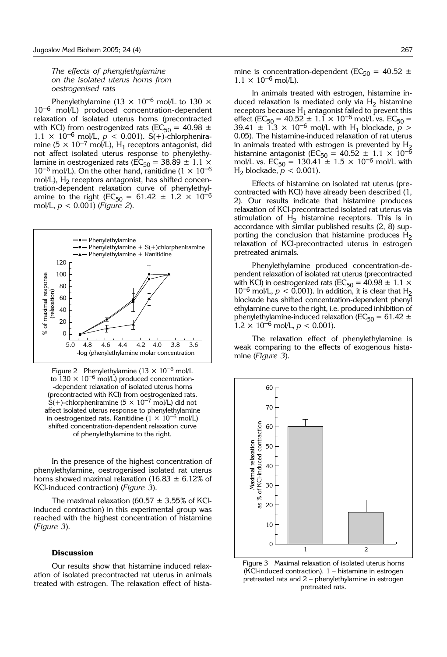# *The effects of phenylethylamine on the isolated uterus horns from oestrogenised rats*

Phenylethylamine (13  $\times$  10<sup>-6</sup> mol/L to 130  $\times$ 10<sup>-6</sup> mol/L) produced concentration-dependent relaxation of isolated uterus horns (precontracted with KCl) from oestrogenized rats (EC<sub>50</sub> = 40.98  $\pm$  $1.1 \times 10^{-6}$  mol/L,  $p < 0.001$ ). S(+)-chlorpheniramine (5  $\times$  10<sup>-7</sup> mol/L), H<sub>1</sub> receptors antagonist, did not affect isolated uterus response to phenylethylamine in oestrogenized rats ( $\overline{EC}_{50} = 38.89 \pm 1.1 \times$  $10^{-6}$  mol/L). On the other hand, ranitidine ( $1 \times 10^{-6}$ mol/L),  $H_2$  receptors antagonist, has shifted concentration-dependent relaxation curve of phenylethylamine to the right (EC<sub>50</sub> = 61.42  $\pm$  1.2  $\times$  10<sup>-6</sup> mol/L, *p* < 0.001) (*Figure 2*).



Figure 2 Phenylethylamine ( $13 \times 10^{-6}$  mol/L to  $130 \times 10^{-6}$  mol/L) produced concentration--dependent relaxation of isolated uterus horns (precontracted with KCl) from oestrogenized rats.  $S(+)$ -chlorpheniramine (5  $\times$  10<sup>-7</sup> mol/L) did not affect isolated uterus response to phenylethylamine in oestrogenized rats. Ranitidine  $(1 \times 10^{-6} \text{ mol/L})$ shifted concentration-dependent relaxation curve of phenylethylamine to the right.

In the presence of the highest concentration of phenylethylamine, oestrogenised isolated rat uterus horns showed maximal relaxation (16.83  $\pm$  6.12% of KCl-induced contraction) (*Figure 3*).

The maximal relaxation (60.57  $\pm$  3.55% of KClinduced contraction) in this experimental group was reached with the highest concentration of histamine (*Figure 3*).

## **Discussion**

Our results show that histamine induced relaxation of isolated precontracted rat uterus in animals treated with estrogen. The relaxation effect of histamine is concentration-dependent ( $EC_{50} = 40.52 \pm$  $1.1 \times 10^{-6}$  mol/L).

In animals treated with estrogen, histamine induced relaxation is mediated only via  $H_2$  histamine receptors because  $H_1$  antagonist failed to prevent this effect (EC<sub>50</sub> = 40.52 ± 1.1 × 10<sup>-6</sup> mol/L vs. EC<sub>50</sub> = 39.41  $\pm$  1.3  $\times$  10<sup>-6</sup> mol/L with H<sub>1</sub> blockade,  $p >$ 0.05). The histamine-induced relaxation of rat uterus in animals treated with estrogen is prevented by  $H_2$ histamine antagonist ( $EC_{50} = 40.52 \pm 1.1 \times 10^{-6}$ mol/L vs.  $EC_{50} = 130.41 \pm 1.5 \times 10^{-6}$  mol/L with H<sub>2</sub> blockade,  $p < 0.001$ ).

Effects of histamine on isolated rat uterus (precontracted with KCl) have already been described (1, 2). Our results indicate that histamine produces relaxation of KCl-precontracted isolated rat uterus via stimulation of  $H_2$  histamine receptors. This is in accordance with similar published results (2, 8) supporting the conclusion that histamine produces  $H<sub>2</sub>$ relaxation of KCl-precontracted uterus in estrogen pretreated animals.

Phenylethylamine produced concentration-dependent relaxation of isolated rat uterus (precontracted with KCl) in oestrogenized rats (EC<sub>50</sub> = 40.98  $\pm$  1.1  $\times$  $10^{-6}$  mol/L,  $p < 0.001$ ). In addition, it is clear that H<sub>2</sub> blockade has shifted concentration-dependent phenyl ethylamine curve to the right, i.e. produced inhibition of phenylethylamine-induced relaxation ( $EC_{50} = 61.42 \pm$  $1.2 \times 10^{-6}$  mol/L,  $p < 0.001$ ).

The relaxation effect of phenylethylamine is weak comparing to the effects of exogenous histamine (*Figure 3*).



Figure 3 Maximal relaxation of isolated uterus horns (KCl-induced contraction). 1 – histamine in estrogen pretreated rats and 2 – phenylethylamine in estrogen pretreated rats.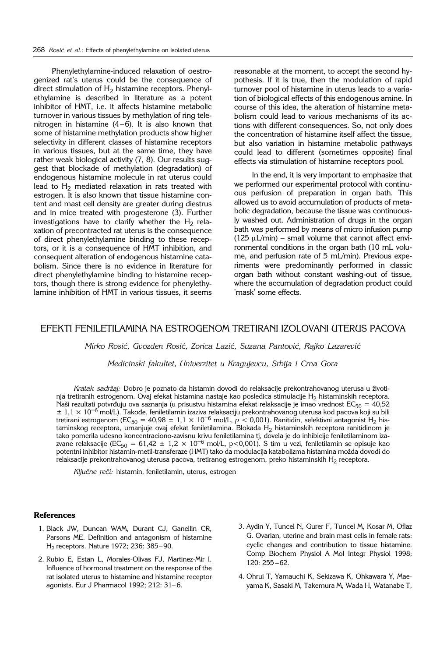Phenylethylamine-induced relaxation of oestrogenized rat's uterus could be the consequence of direct stimulation of  $H<sub>2</sub>$  histamine receptors. Phenylethylamine is described in literature as a potent inhibitor of HMT, i.e. it affects histamine metabolic turnover in various tissues by methylation of ring telenitrogen in histamine  $(4-6)$ . It is also known that some of histamine methylation products show higher selectivity in different classes of histamine receptors in various tissues, but at the same time, they have rather weak biological activity (7, 8). Our results suggest that blockade of methylation (degradation) of endogenous histamine molecule in rat uterus could lead to  $H_2$  mediated relaxation in rats treated with estrogen. It is also known that tissue histamine content and mast cell density are greater during diestrus and in mice treated with progesterone (3). Further investigations have to clarify whether the  $H_2$  relaxation of precontracted rat uterus is the consequence of direct phenylethylamine binding to these receptors, or it is a consequence of HMT inhibition, and consequent alteration of endogenous histamine catabolism. Since there is no evidence in literature for direct phenylethylamine binding to histamine receptors, though there is strong evidence for phenylethylamine inhibition of HMT in various tissues, it seems reasonable at the moment, to accept the second hypothesis. If it is true, then the modulation of rapid turnover pool of histamine in uterus leads to a variation of biological effects of this endogenous amine. In course of this idea, the alteration of histamine metabolism could lead to various mechanisms of its actions with different consequences. So, not only does the concentration of histamine itself affect the tissue, but also variation in histamine metabolic pathways could lead to different (sometimes opposite) final effects via stimulation of histamine receptors pool.

In the end, it is very important to emphasize that we performed our experimental protocol with continuous perfusion of preparation in organ bath. This allowed us to avoid accumulation of products of metabolic degradation, because the tissue was continuously washed out. Administration of drugs in the organ bath was performed by means of micro infusion pump  $(125 \mu L/min)$  – small volume that cannot affect environmental conditions in the organ bath (10 mL volume, and perfusion rate of 5 mL/min). Previous experiments were predominantly performed in classic organ bath without constant washing-out of tissue, where the accumulation of degradation product could 'mask' some effects.

# EFEKTI FENILETILAMINA NA ESTROGENOM TRETIRANI IZOLOVANI UTERUS PACOVA

*Mirko Rosi}, Gvozden Rosi}, Zorica Lazi}, Suzana Pantovi}, Rajko Lazarevi}*

*Medicinski fakultet, Univerzitet u Kragujevcu, Srbija i Crna Gora*

Kratak sadržaj: Dobro je poznato da histamin dovodi do relaksacije prekontrahovanog uterusa u životinja tretiranih estrogenom. Ovaj efekat histamina nastaje kao posledica stimulacije H2 histaminskih receptora. Naši rezultati potvrđuju ova saznanja (u prisustvu histamina efekat relaksacije je imao vrednost EC<sub>50</sub> = 40,52  $\pm$  1,1  $\times$  10<sup>-6</sup> mol/L). Takođe, feniletilamin izaziva relaksaciju prekontrahovanog uterusa kod pacova koji su bili tretirani estrogenom (EC<sub>50</sub> = 40,98 ± 1,1 × 10<sup>-6</sup> mol/L, *p* < 0,001). Ranitidin, selektivni antagonist H<sub>2</sub> histaminskog receptora, umanjuje ovaj efekat feniletilamina. Blokada  ${\sf H_2}$  histaminskih receptora ranitidinom je tako pomerila udesno koncentraciono-zavisnu krivu feniletilamina tj, dovela je do inhibicije feniletilaminom izazvane relaksacije (EC<sub>50</sub> = 61,42 ± 1,2 × 10<sup>-6</sup> mol/L, p<0,001). S tim u vezi, feniletilamin se opisuje kao potentni inhibitor histamin-metil-transferaze (HMT) tako da modulacija katabolizma histamina možda dovodi do relaksacije prekontrahovanog uterusa pacova, tretiranog estrogenom, preko histaminskih H<sub>2</sub> receptora.

Ključne reči: histamin, feniletilamin, uterus, estrogen

## **References**

- 1. Black JW, Duncan WAM, Durant CJ, Ganellin CR, Parsons ME. Definition and antagonism of histamine H2 receptors. Nature 1972; 236: 385–90.
- 2. Rubio E, Estan L, Morales-Olivas FJ, Martinez-Mir I. Influence of hormonal treatment on the response of the rat isolated uterus to histamine and histamine receptor agonists. Eur J Pharmacol 1992; 212: 31– 6.
- 3. Aydin Y, Tuncel N, Gurer F, Tuncel M, Kosar M, Oflaz G. Ovarian, uterine and brain mast cells in female rats: cyclic changes and contribution to tissue histamine. Comp Biochem Physiol A Mol Integr Physiol 1998; 120: 255 –62.
- 4. Ohrui T, Yamauchi K, Sekizawa K, Ohkawara Y, Maeyama K, Sasaki M, Takemura M, Wada H, Watanabe T,